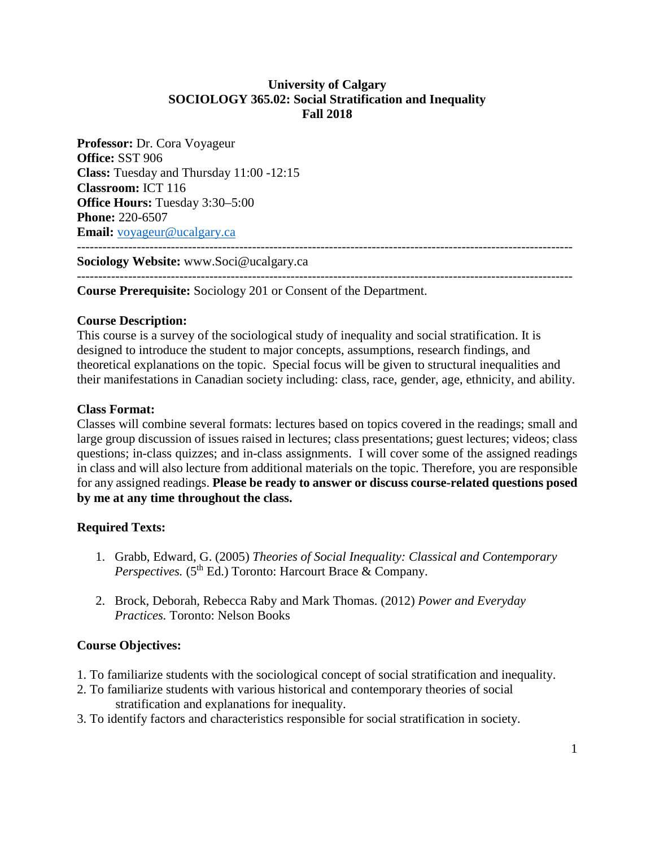# **University of Calgary SOCIOLOGY 365.02: Social Stratification and Inequality Fall 2018**

**Professor:** Dr. Cora Voyageur **Office:** SST 906 **Class:** Tuesday and Thursday 11:00 -12:15 **Classroom:** ICT 116 **Office Hours:** Tuesday 3:30–5:00 **Phone:** 220-6507 **Email:** [voyageur@ucalgary.ca](mailto:voyageur@ucalgary.ca) --------------------------------------------------------------------------------------------------------------------

**Sociology Website:** www.Soci@ucalgary.ca

-------------------------------------------------------------------------------------------------------------------- **Course Prerequisite:** Sociology 201 or Consent of the Department.

## **Course Description:**

This course is a survey of the sociological study of inequality and social stratification. It is designed to introduce the student to major concepts, assumptions, research findings, and theoretical explanations on the topic. Special focus will be given to structural inequalities and their manifestations in Canadian society including: class, race, gender, age, ethnicity, and ability.

## **Class Format:**

Classes will combine several formats: lectures based on topics covered in the readings; small and large group discussion of issues raised in lectures; class presentations; guest lectures; videos; class questions; in-class quizzes; and in-class assignments. I will cover some of the assigned readings in class and will also lecture from additional materials on the topic. Therefore, you are responsible for any assigned readings. **Please be ready to answer or discuss course-related questions posed by me at any time throughout the class.** 

## **Required Texts:**

- 1. Grabb, Edward, G. (2005) *Theories of Social Inequality: Classical and Contemporary Perspectives.* (5<sup>th</sup> Ed.) Toronto: Harcourt Brace & Company.
- 2. Brock, Deborah, Rebecca Raby and Mark Thomas. (2012) *Power and Everyday Practices.* Toronto: Nelson Books

## **Course Objectives:**

- 1. To familiarize students with the sociological concept of social stratification and inequality.
- 2. To familiarize students with various historical and contemporary theories of social stratification and explanations for inequality.
- 3. To identify factors and characteristics responsible for social stratification in society.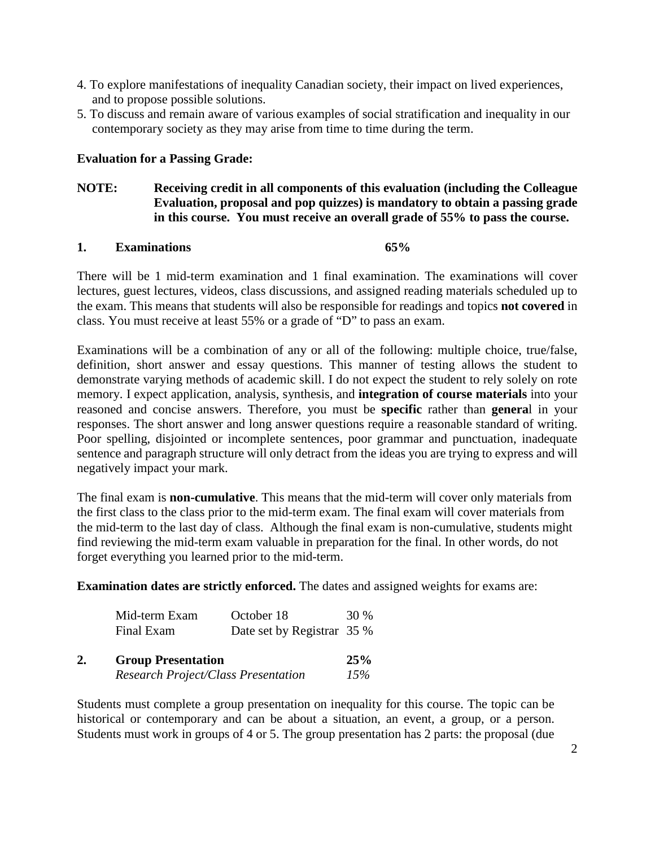- 4. To explore manifestations of inequality Canadian society, their impact on lived experiences, and to propose possible solutions.
- 5. To discuss and remain aware of various examples of social stratification and inequality in our contemporary society as they may arise from time to time during the term.

# **Evaluation for a Passing Grade:**

## **NOTE: Receiving credit in all components of this evaluation (including the Colleague Evaluation, proposal and pop quizzes) is mandatory to obtain a passing grade in this course. You must receive an overall grade of 55% to pass the course.**

## **1. Examinations 65%**

There will be 1 mid-term examination and 1 final examination. The examinations will cover lectures, guest lectures, videos, class discussions, and assigned reading materials scheduled up to the exam. This means that students will also be responsible for readings and topics **not covered** in class. You must receive at least 55% or a grade of "D" to pass an exam.

Examinations will be a combination of any or all of the following: multiple choice, true/false, definition, short answer and essay questions. This manner of testing allows the student to demonstrate varying methods of academic skill. I do not expect the student to rely solely on rote memory. I expect application, analysis, synthesis, and **integration of course materials** into your reasoned and concise answers. Therefore, you must be **specific** rather than **genera**l in your responses. The short answer and long answer questions require a reasonable standard of writing. Poor spelling, disjointed or incomplete sentences, poor grammar and punctuation, inadequate sentence and paragraph structure will only detract from the ideas you are trying to express and will negatively impact your mark.

The final exam is **non-cumulative**. This means that the mid-term will cover only materials from the first class to the class prior to the mid-term exam. The final exam will cover materials from the mid-term to the last day of class. Although the final exam is non-cumulative, students might find reviewing the mid-term exam valuable in preparation for the final. In other words, do not forget everything you learned prior to the mid-term.

**Examination dates are strictly enforced.** The dates and assigned weights for exams are:

| Mid-term Exam | October 18                 | 30 % |
|---------------|----------------------------|------|
| Final Exam    | Date set by Registrar 35 % |      |

| 2. | <b>Group Presentation</b>                  | 25% |
|----|--------------------------------------------|-----|
|    | <b>Research Project/Class Presentation</b> | 15% |

Students must complete a group presentation on inequality for this course. The topic can be historical or contemporary and can be about a situation, an event, a group, or a person. Students must work in groups of 4 or 5. The group presentation has 2 parts: the proposal (due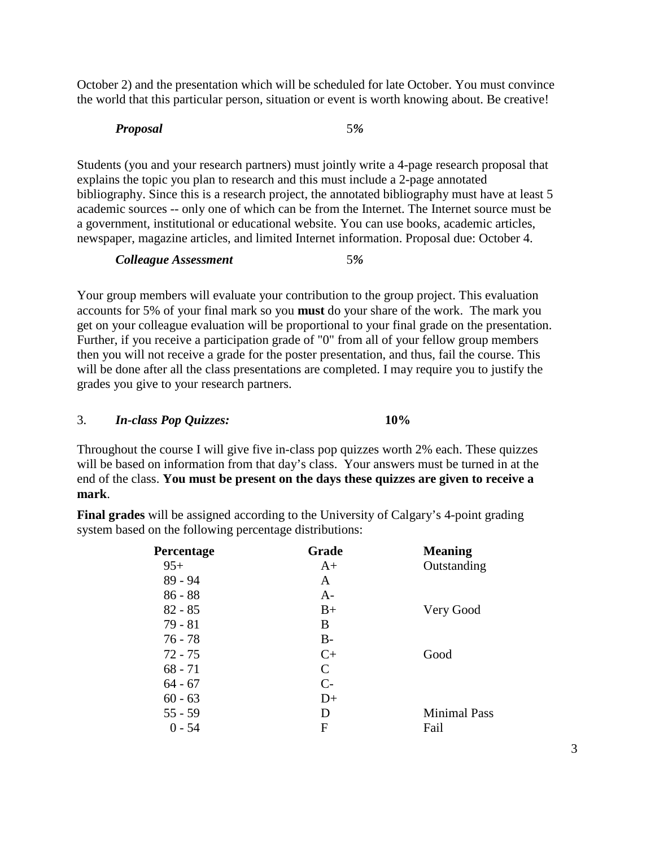October 2) and the presentation which will be scheduled for late October. You must convince the world that this particular person, situation or event is worth knowing about. Be creative!

## *Proposal* 5*%*

Students (you and your research partners) must jointly write a 4-page research proposal that explains the topic you plan to research and this must include a 2-page annotated bibliography. Since this is a research project, the annotated bibliography must have at least 5 academic sources -- only one of which can be from the Internet. The Internet source must be a government, institutional or educational website. You can use books, academic articles, newspaper, magazine articles, and limited Internet information. Proposal due: October 4.

*Colleague Assessment* 5*%*

Your group members will evaluate your contribution to the group project. This evaluation accounts for 5% of your final mark so you **must** do your share of the work. The mark you get on your colleague evaluation will be proportional to your final grade on the presentation. Further, if you receive a participation grade of "0" from all of your fellow group members then you will not receive a grade for the poster presentation, and thus, fail the course. This will be done after all the class presentations are completed. I may require you to justify the grades you give to your research partners.

# 3. *In-class Pop Quizzes:* **10%**

Throughout the course I will give five in-class pop quizzes worth 2% each. These quizzes will be based on information from that day's class. Your answers must be turned in at the end of the class. **You must be present on the days these quizzes are given to receive a mark**.

| <b>Percentage</b> | Grade         | <b>Meaning</b>      |
|-------------------|---------------|---------------------|
| $95+$             | $A+$          | Outstanding         |
| 89 - 94           | A             |                     |
| $86 - 88$         | $A-$          |                     |
| $82 - 85$         | $B+$          | Very Good           |
| $79 - 81$         | B             |                     |
| $76 - 78$         | $B-$          |                     |
| $72 - 75$         | $C+$          | Good                |
| $68 - 71$         | $\mathcal{C}$ |                     |
| $64 - 67$         | $C-$          |                     |
| $60 - 63$         | $D+$          |                     |
| $55 - 59$         | D             | <b>Minimal Pass</b> |
| 0 - 54            | F             | Fail                |

**Final grades** will be assigned according to the University of Calgary's 4-point grading system based on the following percentage distributions: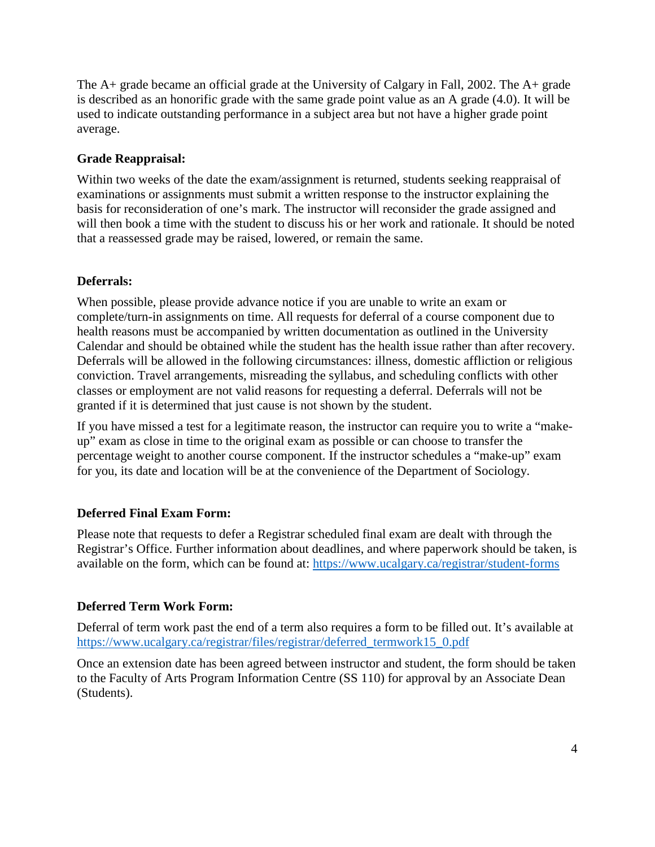The A+ grade became an official grade at the University of Calgary in Fall, 2002. The A+ grade is described as an honorific grade with the same grade point value as an A grade (4.0). It will be used to indicate outstanding performance in a subject area but not have a higher grade point average.

# **Grade Reappraisal:**

Within two weeks of the date the exam/assignment is returned, students seeking reappraisal of examinations or assignments must submit a written response to the instructor explaining the basis for reconsideration of one's mark. The instructor will reconsider the grade assigned and will then book a time with the student to discuss his or her work and rationale. It should be noted that a reassessed grade may be raised, lowered, or remain the same.

# **Deferrals:**

When possible, please provide advance notice if you are unable to write an exam or complete/turn-in assignments on time. All requests for deferral of a course component due to health reasons must be accompanied by written documentation as outlined in the University Calendar and should be obtained while the student has the health issue rather than after recovery. Deferrals will be allowed in the following circumstances: illness, domestic affliction or religious conviction. Travel arrangements, misreading the syllabus, and scheduling conflicts with other classes or employment are not valid reasons for requesting a deferral. Deferrals will not be granted if it is determined that just cause is not shown by the student.

If you have missed a test for a legitimate reason, the instructor can require you to write a "makeup" exam as close in time to the original exam as possible or can choose to transfer the percentage weight to another course component. If the instructor schedules a "make-up" exam for you, its date and location will be at the convenience of the Department of Sociology.

# **Deferred Final Exam Form:**

Please note that requests to defer a Registrar scheduled final exam are dealt with through the Registrar's Office. Further information about deadlines, and where paperwork should be taken, is available on the form, which can be found at:<https://www.ucalgary.ca/registrar/student-forms>

# **Deferred Term Work Form:**

Deferral of term work past the end of a term also requires a form to be filled out. It's available at [https://www.ucalgary.ca/registrar/files/registrar/deferred\\_termwork15\\_0.pdf](https://www.ucalgary.ca/registrar/files/registrar/deferred_termwork15_0.pdf) 

Once an extension date has been agreed between instructor and student, the form should be taken to the Faculty of Arts Program Information Centre (SS 110) for approval by an Associate Dean (Students).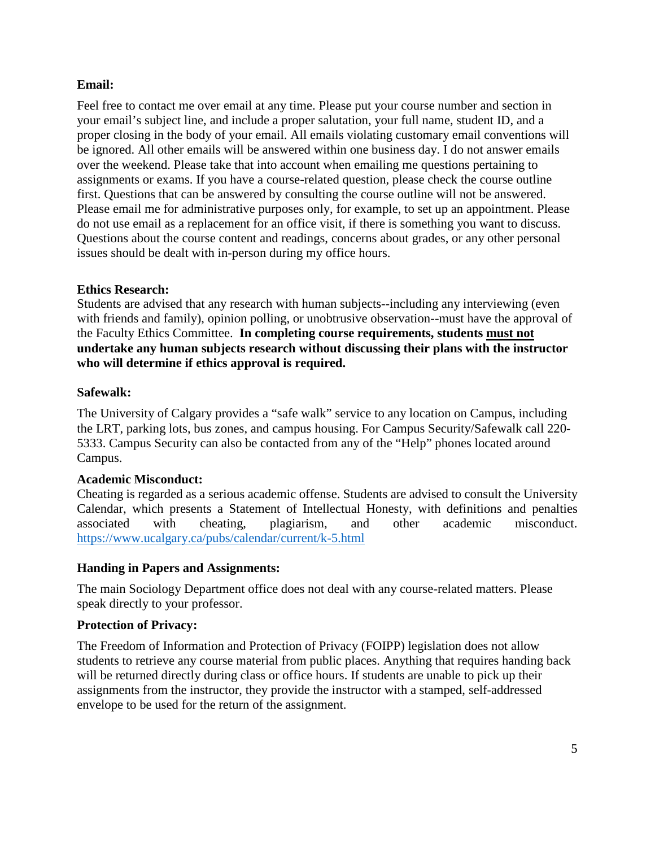# **Email:**

Feel free to contact me over email at any time. Please put your course number and section in your email's subject line, and include a proper salutation, your full name, student ID, and a proper closing in the body of your email. All emails violating customary email conventions will be ignored. All other emails will be answered within one business day. I do not answer emails over the weekend. Please take that into account when emailing me questions pertaining to assignments or exams. If you have a course-related question, please check the course outline first. Questions that can be answered by consulting the course outline will not be answered. Please email me for administrative purposes only, for example, to set up an appointment. Please do not use email as a replacement for an office visit, if there is something you want to discuss. Questions about the course content and readings, concerns about grades, or any other personal issues should be dealt with in-person during my office hours.

# **Ethics Research:**

Students are advised that any research with human subjects--including any interviewing (even with friends and family), opinion polling, or unobtrusive observation--must have the approval of the Faculty Ethics Committee. **In completing course requirements, students must not undertake any human subjects research without discussing their plans with the instructor who will determine if ethics approval is required.**

# **Safewalk:**

The University of Calgary provides a "safe walk" service to any location on Campus, including the LRT, parking lots, bus zones, and campus housing. For Campus Security/Safewalk call 220- 5333. Campus Security can also be contacted from any of the "Help" phones located around Campus.

# **Academic Misconduct:**

Cheating is regarded as a serious academic offense. Students are advised to consult the University Calendar, which presents a Statement of Intellectual Honesty, with definitions and penalties associated with cheating, plagiarism, and other academic misconduct. <https://www.ucalgary.ca/pubs/calendar/current/k-5.html>

## **Handing in Papers and Assignments:**

The main Sociology Department office does not deal with any course-related matters. Please speak directly to your professor.

## **Protection of Privacy:**

The Freedom of Information and Protection of Privacy (FOIPP) legislation does not allow students to retrieve any course material from public places. Anything that requires handing back will be returned directly during class or office hours. If students are unable to pick up their assignments from the instructor, they provide the instructor with a stamped, self-addressed envelope to be used for the return of the assignment.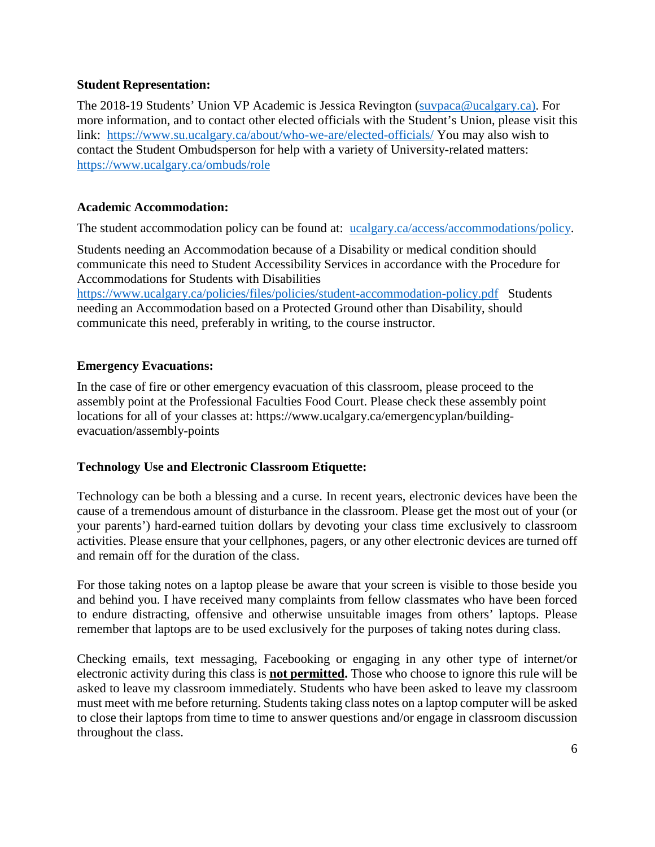# **Student Representation:**

The 2018-19 Students' Union VP Academic is Jessica Revington [\(suvpaca@ucalgary.ca\)](mailto:suvpaca@ucalgary.ca). For more information, and to contact other elected officials with the Student's Union, please visit this link: <https://www.su.ucalgary.ca/about/who-we-are/elected-officials/> You may also wish to contact the Student Ombudsperson for help with a variety of University-related matters: <https://www.ucalgary.ca/ombuds/role>

# **Academic Accommodation:**

The student accommodation policy can be found at: [ucalgary.ca/access/accommodations/policy.](http://www.ucalgary.ca/access/accommodations/policy)

Students needing an Accommodation because of a Disability or medical condition should communicate this need to Student Accessibility Services in accordance with the Procedure for Accommodations for Students with Disabilities

<https://www.ucalgary.ca/policies/files/policies/student-accommodation-policy.pdf> Students needing an Accommodation based on a Protected Ground other than Disability, should communicate this need, preferably in writing, to the course instructor.

# **Emergency Evacuations:**

In the case of fire or other emergency evacuation of this classroom, please proceed to the assembly point at the Professional Faculties Food Court. Please check these assembly point locations for all of your classes at: https://www.ucalgary.ca/emergencyplan/buildingevacuation/assembly-points

# **Technology Use and Electronic Classroom Etiquette:**

Technology can be both a blessing and a curse. In recent years, electronic devices have been the cause of a tremendous amount of disturbance in the classroom. Please get the most out of your (or your parents') hard-earned tuition dollars by devoting your class time exclusively to classroom activities. Please ensure that your cellphones, pagers, or any other electronic devices are turned off and remain off for the duration of the class.

For those taking notes on a laptop please be aware that your screen is visible to those beside you and behind you. I have received many complaints from fellow classmates who have been forced to endure distracting, offensive and otherwise unsuitable images from others' laptops. Please remember that laptops are to be used exclusively for the purposes of taking notes during class.

Checking emails, text messaging, Facebooking or engaging in any other type of internet/or electronic activity during this class is **not permitted.** Those who choose to ignore this rule will be asked to leave my classroom immediately. Students who have been asked to leave my classroom must meet with me before returning. Students taking class notes on a laptop computer will be asked to close their laptops from time to time to answer questions and/or engage in classroom discussion throughout the class.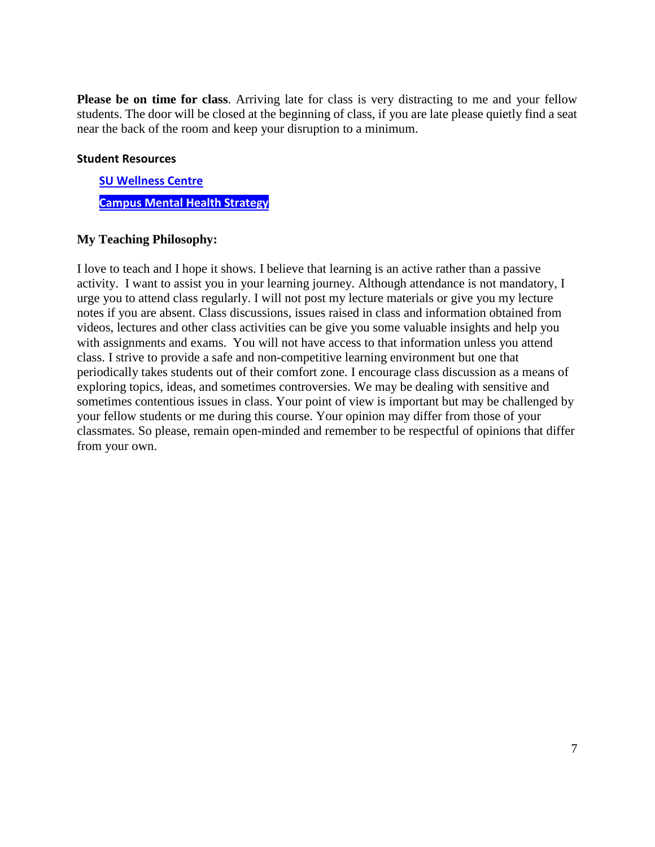**Please be on time for class**. Arriving late for class is very distracting to me and your fellow students. The door will be closed at the beginning of class, if you are late please quietly find a seat near the back of the room and keep your disruption to a minimum.

## **Student Resources**

**[SU Wellness Centre](http://www.ucalgary.ca/wellnesscentre/) [Campus Mental Health Strategy](https://www.ucalgary.ca/mentalhealth/)**

## **My Teaching Philosophy:**

I love to teach and I hope it shows. I believe that learning is an active rather than a passive activity. I want to assist you in your learning journey. Although attendance is not mandatory, I urge you to attend class regularly. I will not post my lecture materials or give you my lecture notes if you are absent. Class discussions, issues raised in class and information obtained from videos, lectures and other class activities can be give you some valuable insights and help you with assignments and exams. You will not have access to that information unless you attend class. I strive to provide a safe and non-competitive learning environment but one that periodically takes students out of their comfort zone. I encourage class discussion as a means of exploring topics, ideas, and sometimes controversies. We may be dealing with sensitive and sometimes contentious issues in class. Your point of view is important but may be challenged by your fellow students or me during this course. Your opinion may differ from those of your classmates. So please, remain open-minded and remember to be respectful of opinions that differ from your own.